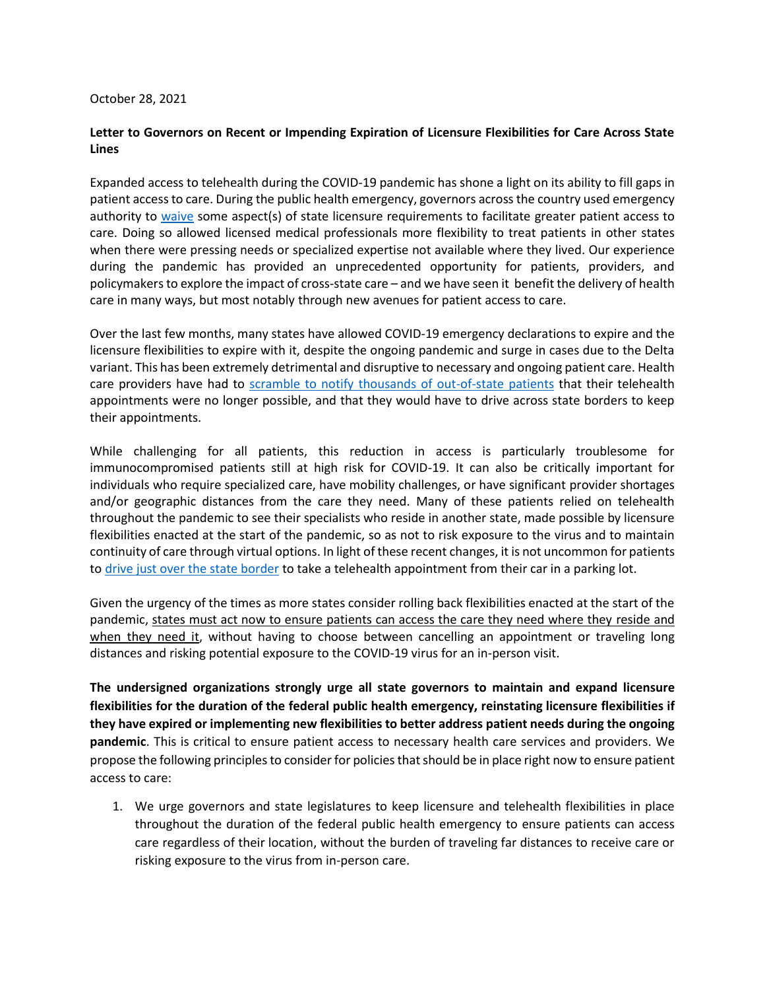## October 28, 2021

## **Letter to Governors on Recent or Impending Expiration of Licensure Flexibilities for Care Across State Lines**

Expanded access to telehealth during the COVID-19 pandemic has shone a light on its ability to fill gaps in patient access to care. During the public health emergency, governors across the country used emergency authority to [waive](https://connectwithcare.org/state-telehealth-and-licensure-expansion-covid-19-chart/) some aspect(s) of state licensure requirements to facilitate greater patient access to care. Doing so allowed licensed medical professionals more flexibility to treat patients in other states when there were pressing needs or specialized expertise not available where they lived. Our experience during the pandemic has provided an unprecedented opportunity for patients, providers, and policymakers to explore the impact of cross-state care – and we have seen it benefit the delivery of health care in many ways, but most notably through new avenues for patient access to care.

Over the last few months, many states have allowed COVID-19 emergency declarations to expire and the licensure flexibilities to expire with it, despite the ongoing pandemic and surge in cases due to the Delta variant. This has been extremely detrimental and disruptive to necessary and ongoing patient care. Health care providers have had to [scramble to notify thousands of out-of-state patients](https://time.com/6092635/telehealth-state-lines-licensing/) that their telehealth appointments were no longer possible, and that they would have to drive across state borders to keep their appointments.

While challenging for all patients, this reduction in access is particularly troublesome for immunocompromised patients still at high risk for COVID-19. It can also be critically important for individuals who require specialized care, have mobility challenges, or have significant provider shortages and/or geographic distances from the care they need. Many of these patients relied on telehealth throughout the pandemic to see their specialists who reside in another state, made possible by licensure flexibilities enacted at the start of the pandemic, so as not to risk exposure to the virus and to maintain continuity of care through virtual options. In light of these recent changes, it is not uncommon for patients to [drive just over the state border](https://www.statnews.com/2021/07/13/telehealth-provisions-emergency-patients/) to take a telehealth appointment from their car in a parking lot.

Given the urgency of the times as more states consider rolling back flexibilities enacted at the start of the pandemic, states must act now to ensure patients can access the care they need where they reside and when they need it, without having to choose between cancelling an appointment or traveling long distances and risking potential exposure to the COVID-19 virus for an in-person visit.

**The undersigned organizations strongly urge all state governors to maintain and expand licensure flexibilities for the duration of the federal public health emergency, reinstating licensure flexibilities if they have expired or implementing new flexibilities to better address patient needs during the ongoing pandemic**. This is critical to ensure patient access to necessary health care services and providers. We propose the following principles to consider for policies that should be in place right now to ensure patient access to care:

1. We urge governors and state legislatures to keep licensure and telehealth flexibilities in place throughout the duration of the federal public health emergency to ensure patients can access care regardless of their location, without the burden of traveling far distances to receive care or risking exposure to the virus from in-person care.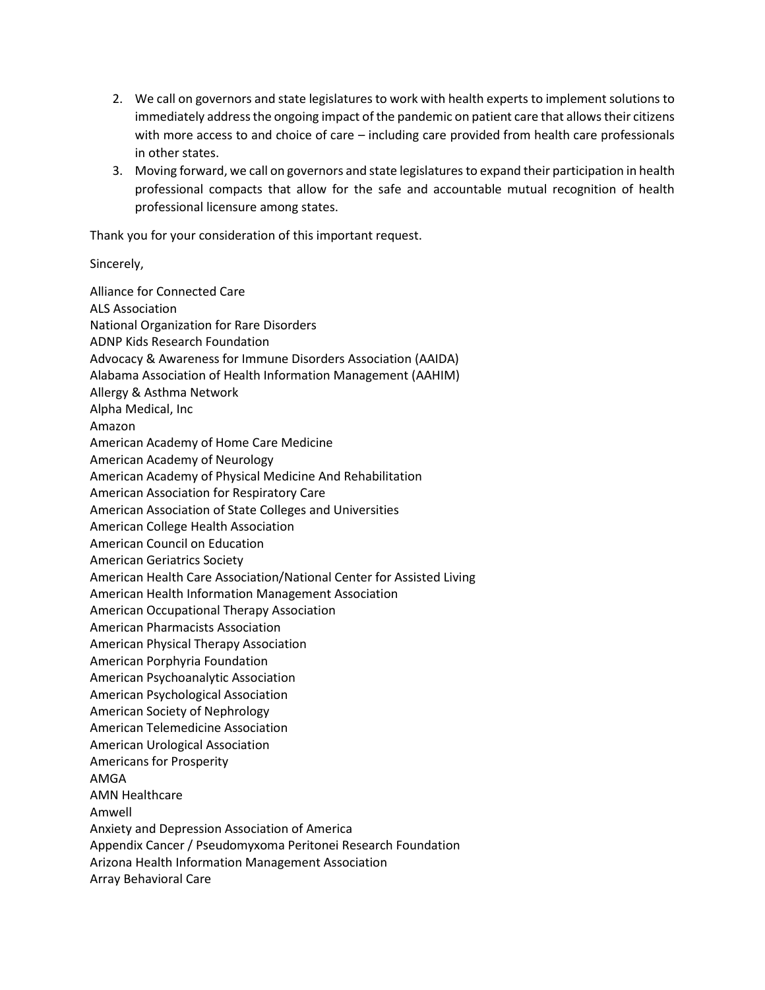- 2. We call on governors and state legislatures to work with health experts to implement solutions to immediately address the ongoing impact of the pandemic on patient care that allowstheir citizens with more access to and choice of care – including care provided from health care professionals in other states.
- 3. Moving forward, we call on governors and state legislatures to expand their participation in health professional compacts that allow for the safe and accountable mutual recognition of health professional licensure among states.

Thank you for your consideration of this important request.

## Sincerely,

Alliance for Connected Care ALS Association National Organization for Rare Disorders ADNP Kids Research Foundation Advocacy & Awareness for Immune Disorders Association (AAIDA) Alabama Association of Health Information Management (AAHIM) Allergy & Asthma Network Alpha Medical, Inc Amazon American Academy of Home Care Medicine American Academy of Neurology American Academy of Physical Medicine And Rehabilitation American Association for Respiratory Care American Association of State Colleges and Universities American College Health Association American Council on Education American Geriatrics Society American Health Care Association/National Center for Assisted Living American Health Information Management Association American Occupational Therapy Association American Pharmacists Association American Physical Therapy Association American Porphyria Foundation American Psychoanalytic Association American Psychological Association American Society of Nephrology American Telemedicine Association American Urological Association Americans for Prosperity AMGA AMN Healthcare Amwell Anxiety and Depression Association of America Appendix Cancer / Pseudomyxoma Peritonei Research Foundation Arizona Health Information Management Association Array Behavioral Care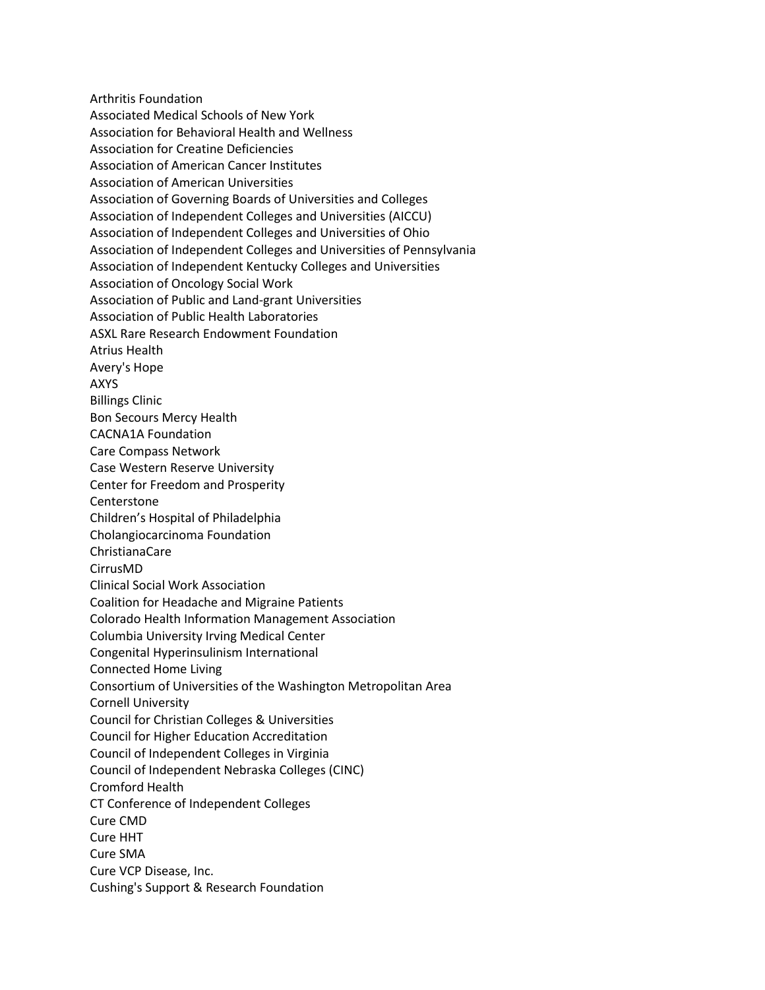Arthritis Foundation Associated Medical Schools of New York Association for Behavioral Health and Wellness Association for Creatine Deficiencies Association of American Cancer Institutes Association of American Universities Association of Governing Boards of Universities and Colleges Association of Independent Colleges and Universities (AICCU) Association of Independent Colleges and Universities of Ohio Association of Independent Colleges and Universities of Pennsylvania Association of Independent Kentucky Colleges and Universities Association of Oncology Social Work Association of Public and Land-grant Universities Association of Public Health Laboratories ASXL Rare Research Endowment Foundation Atrius Health Avery's Hope AXYS Billings Clinic Bon Secours Mercy Health CACNA1A Foundation Care Compass Network Case Western Reserve University Center for Freedom and Prosperity Centerstone Children's Hospital of Philadelphia Cholangiocarcinoma Foundation ChristianaCare CirrusMD Clinical Social Work Association Coalition for Headache and Migraine Patients Colorado Health Information Management Association Columbia University Irving Medical Center Congenital Hyperinsulinism International Connected Home Living Consortium of Universities of the Washington Metropolitan Area Cornell University Council for Christian Colleges & Universities Council for Higher Education Accreditation Council of Independent Colleges in Virginia Council of Independent Nebraska Colleges (CINC) Cromford Health CT Conference of Independent Colleges Cure CMD Cure HHT Cure SMA Cure VCP Disease, Inc. Cushing's Support & Research Foundation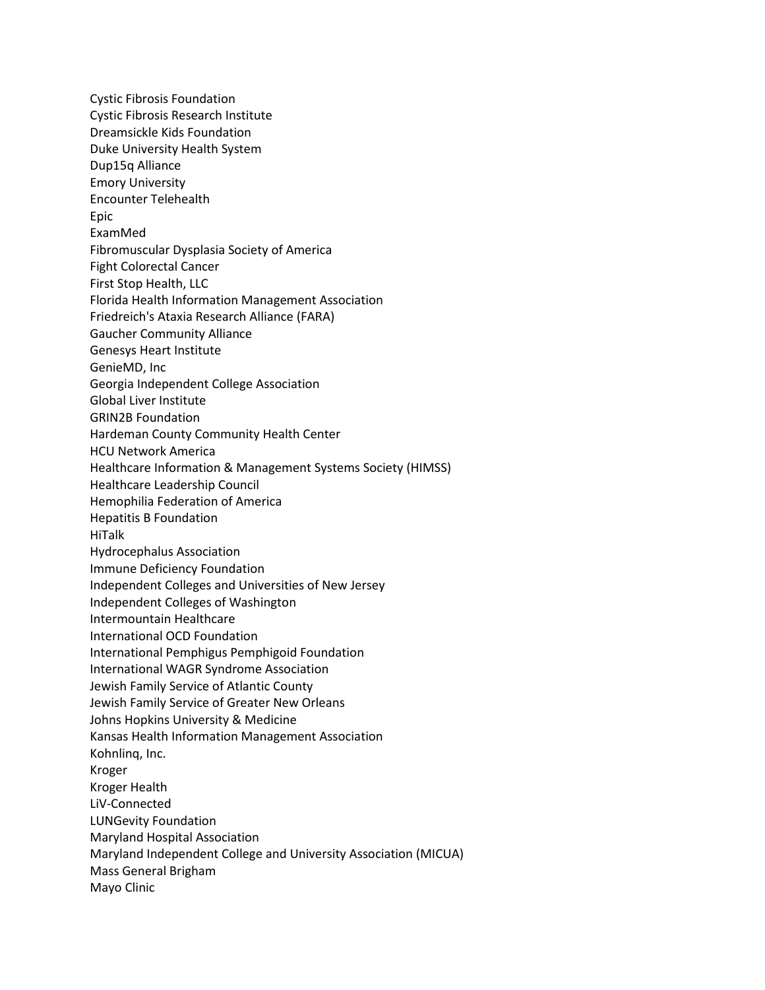Cystic Fibrosis Foundation Cystic Fibrosis Research Institute Dreamsickle Kids Foundation Duke University Health System Dup15q Alliance Emory University Encounter Telehealth Epic ExamMed Fibromuscular Dysplasia Society of America Fight Colorectal Cancer First Stop Health, LLC Florida Health Information Management Association Friedreich's Ataxia Research Alliance (FARA) Gaucher Community Alliance Genesys Heart Institute GenieMD, Inc Georgia Independent College Association Global Liver Institute GRIN2B Foundation Hardeman County Community Health Center HCU Network America Healthcare Information & Management Systems Society (HIMSS) Healthcare Leadership Council Hemophilia Federation of America Hepatitis B Foundation HiTalk Hydrocephalus Association Immune Deficiency Foundation Independent Colleges and Universities of New Jersey Independent Colleges of Washington Intermountain Healthcare International OCD Foundation International Pemphigus Pemphigoid Foundation International WAGR Syndrome Association Jewish Family Service of Atlantic County Jewish Family Service of Greater New Orleans Johns Hopkins University & Medicine Kansas Health Information Management Association Kohnlinq, Inc. Kroger Kroger Health LiV-Connected LUNGevity Foundation Maryland Hospital Association Maryland Independent College and University Association (MICUA) Mass General Brigham Mayo Clinic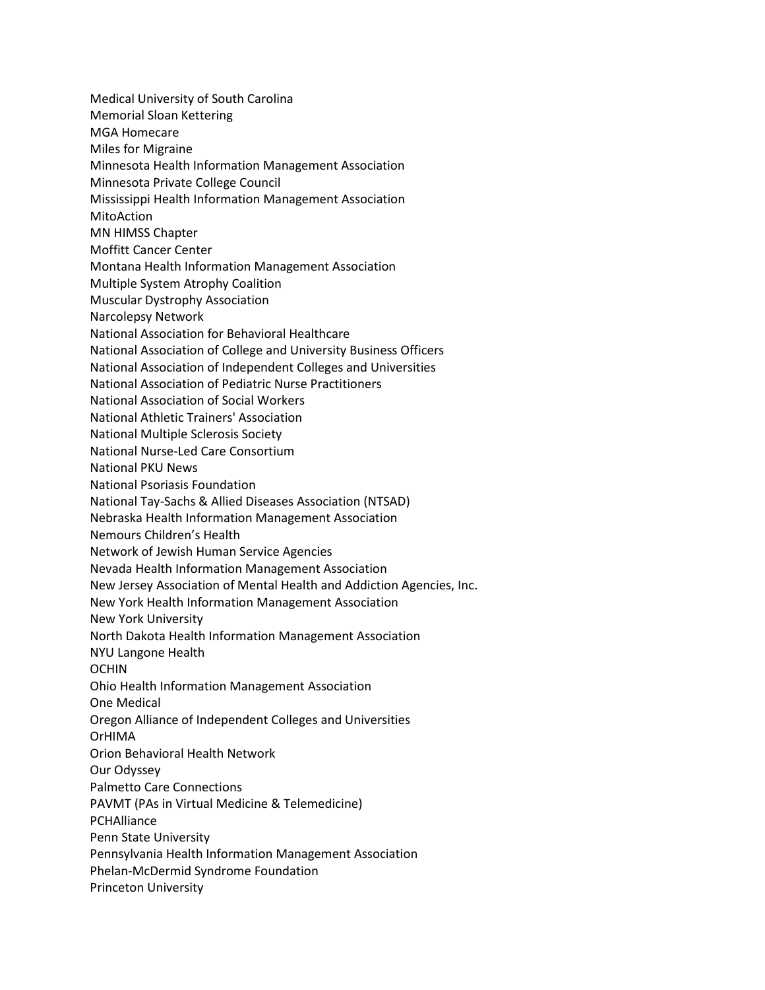Medical University of South Carolina Memorial Sloan Kettering MGA Homecare Miles for Migraine Minnesota Health Information Management Association Minnesota Private College Council Mississippi Health Information Management Association MitoAction MN HIMSS Chapter Moffitt Cancer Center Montana Health Information Management Association Multiple System Atrophy Coalition Muscular Dystrophy Association Narcolepsy Network National Association for Behavioral Healthcare National Association of College and University Business Officers National Association of Independent Colleges and Universities National Association of Pediatric Nurse Practitioners National Association of Social Workers National Athletic Trainers' Association National Multiple Sclerosis Society National Nurse-Led Care Consortium National PKU News National Psoriasis Foundation National Tay-Sachs & Allied Diseases Association (NTSAD) Nebraska Health Information Management Association Nemours Children's Health Network of Jewish Human Service Agencies Nevada Health Information Management Association New Jersey Association of Mental Health and Addiction Agencies, Inc. New York Health Information Management Association New York University North Dakota Health Information Management Association NYU Langone Health OCHIN Ohio Health Information Management Association One Medical Oregon Alliance of Independent Colleges and Universities OrHIMA Orion Behavioral Health Network Our Odyssey Palmetto Care Connections PAVMT (PAs in Virtual Medicine & Telemedicine) PCHAlliance Penn State University Pennsylvania Health Information Management Association Phelan-McDermid Syndrome Foundation Princeton University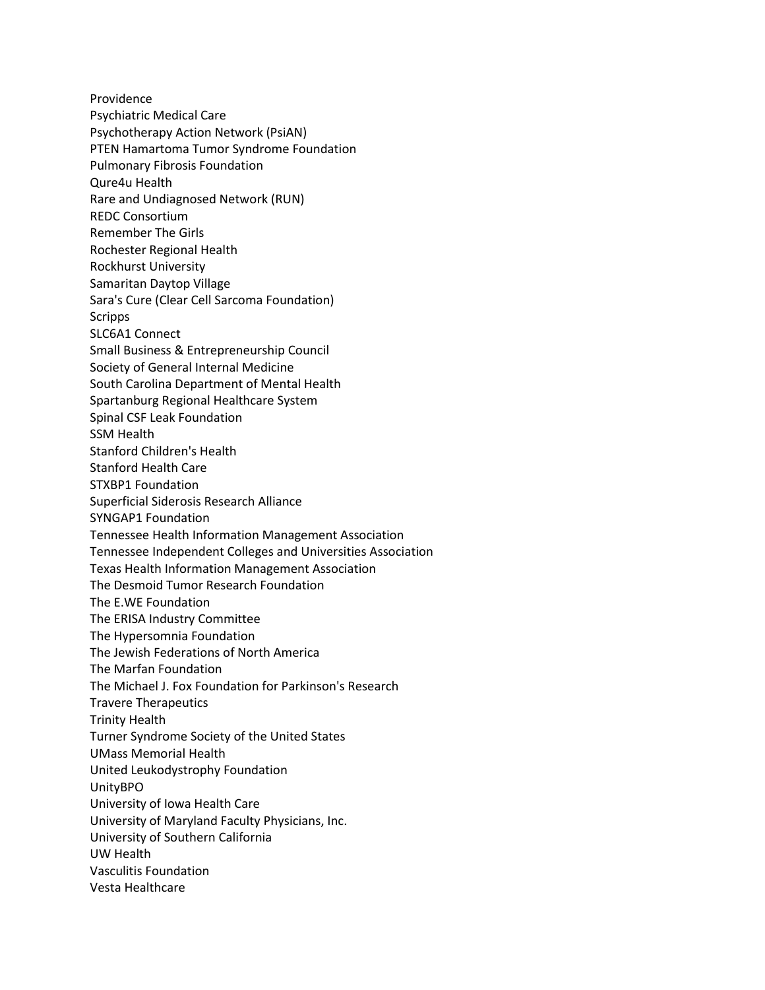Providence Psychiatric Medical Care Psychotherapy Action Network (PsiAN) PTEN Hamartoma Tumor Syndrome Foundation Pulmonary Fibrosis Foundation Qure4u Health Rare and Undiagnosed Network (RUN) REDC Consortium Remember The Girls Rochester Regional Health Rockhurst University Samaritan Daytop Village Sara's Cure (Clear Cell Sarcoma Foundation) Scripps SLC6A1 Connect Small Business & Entrepreneurship Council Society of General Internal Medicine South Carolina Department of Mental Health Spartanburg Regional Healthcare System Spinal CSF Leak Foundation SSM Health Stanford Children's Health Stanford Health Care STXBP1 Foundation Superficial Siderosis Research Alliance SYNGAP1 Foundation Tennessee Health Information Management Association Tennessee Independent Colleges and Universities Association Texas Health Information Management Association The Desmoid Tumor Research Foundation The E.WE Foundation The ERISA Industry Committee The Hypersomnia Foundation The Jewish Federations of North America The Marfan Foundation The Michael J. Fox Foundation for Parkinson's Research Travere Therapeutics Trinity Health Turner Syndrome Society of the United States UMass Memorial Health United Leukodystrophy Foundation UnityBPO University of Iowa Health Care University of Maryland Faculty Physicians, Inc. University of Southern California UW Health Vasculitis Foundation Vesta Healthcare